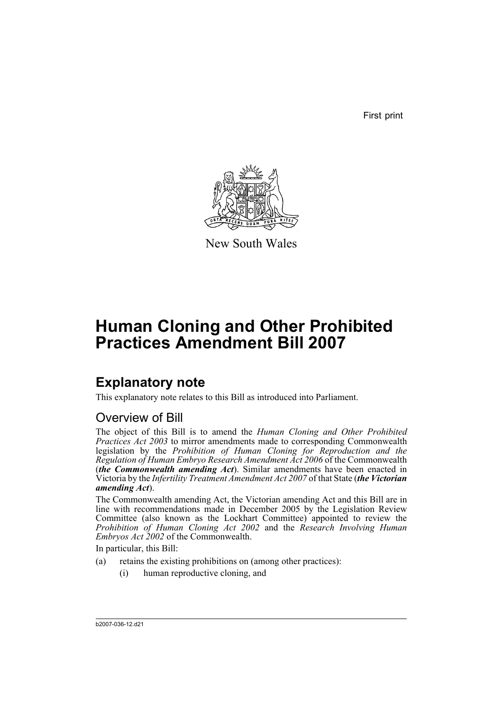First print



New South Wales

# **Human Cloning and Other Prohibited Practices Amendment Bill 2007**

## **Explanatory note**

This explanatory note relates to this Bill as introduced into Parliament.

## Overview of Bill

The object of this Bill is to amend the *Human Cloning and Other Prohibited Practices Act 2003* to mirror amendments made to corresponding Commonwealth legislation by the *Prohibition of Human Cloning for Reproduction and the Regulation of Human Embryo Research Amendment Act 2006* of the Commonwealth (*the Commonwealth amending Act*). Similar amendments have been enacted in Victoria by the *Infertility Treatment Amendment Act 2007* of that State (*the Victorian amending Act*).

The Commonwealth amending Act, the Victorian amending Act and this Bill are in line with recommendations made in December 2005 by the Legislation Review Committee (also known as the Lockhart Committee) appointed to review the *Prohibition of Human Cloning Act 2002* and the *Research Involving Human Embryos Act 2002* of the Commonwealth.

In particular, this Bill:

- (a) retains the existing prohibitions on (among other practices):
	- (i) human reproductive cloning, and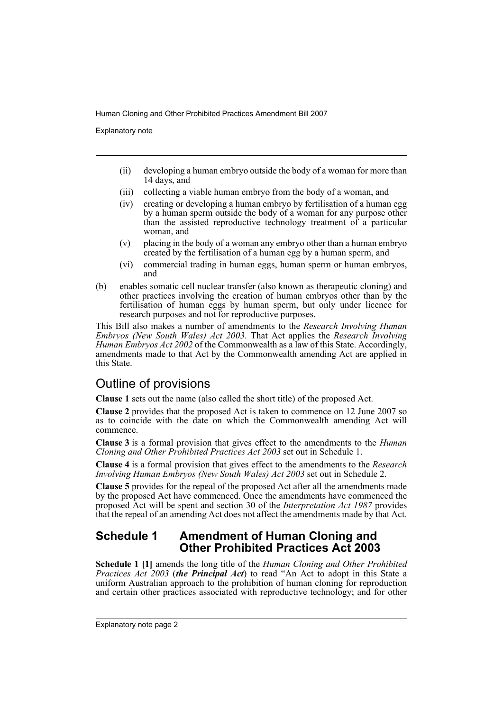Explanatory note

- (ii) developing a human embryo outside the body of a woman for more than 14 days, and
- (iii) collecting a viable human embryo from the body of a woman, and
- (iv) creating or developing a human embryo by fertilisation of a human egg by a human sperm outside the body of a woman for any purpose other than the assisted reproductive technology treatment of a particular woman, and
- (v) placing in the body of a woman any embryo other than a human embryo created by the fertilisation of a human egg by a human sperm, and
- (vi) commercial trading in human eggs, human sperm or human embryos, and
- (b) enables somatic cell nuclear transfer (also known as therapeutic cloning) and other practices involving the creation of human embryos other than by the fertilisation of human eggs by human sperm, but only under licence for research purposes and not for reproductive purposes.

This Bill also makes a number of amendments to the *Research Involving Human Embryos (New South Wales) Act 2003*. That Act applies the *Research Involving Human Embryos Act 2002* of the Commonwealth as a law of this State. Accordingly, amendments made to that Act by the Commonwealth amending Act are applied in this State.

## Outline of provisions

**Clause 1** sets out the name (also called the short title) of the proposed Act.

**Clause 2** provides that the proposed Act is taken to commence on 12 June 2007 so as to coincide with the date on which the Commonwealth amending Act will commence.

**Clause 3** is a formal provision that gives effect to the amendments to the *Human Cloning and Other Prohibited Practices Act 2003* set out in Schedule 1.

**Clause 4** is a formal provision that gives effect to the amendments to the *Research Involving Human Embryos (New South Wales) Act 2003* set out in Schedule 2.

**Clause 5** provides for the repeal of the proposed Act after all the amendments made by the proposed Act have commenced. Once the amendments have commenced the proposed Act will be spent and section 30 of the *Interpretation Act 1987* provides that the repeal of an amending Act does not affect the amendments made by that Act.

### **Schedule 1 Amendment of Human Cloning and Other Prohibited Practices Act 2003**

**Schedule 1 [1]** amends the long title of the *Human Cloning and Other Prohibited Practices Act 2003* (*the Principal Act*) to read "An Act to adopt in this State a uniform Australian approach to the prohibition of human cloning for reproduction and certain other practices associated with reproductive technology; and for other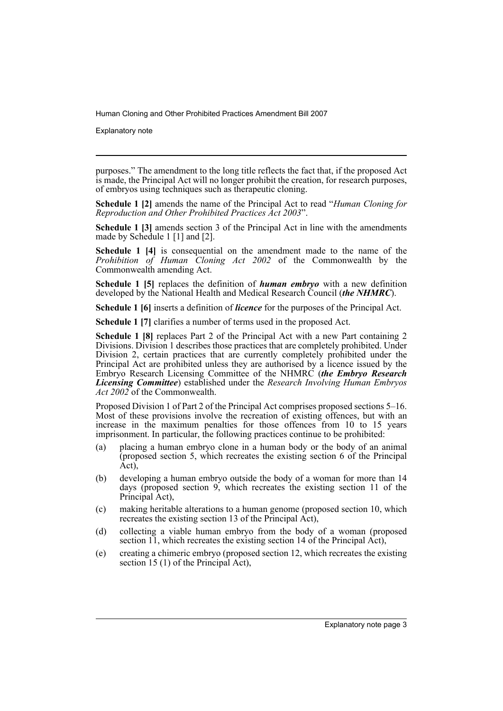Explanatory note

purposes." The amendment to the long title reflects the fact that, if the proposed Act is made, the Principal Act will no longer prohibit the creation, for research purposes, of embryos using techniques such as therapeutic cloning.

**Schedule 1 [2]** amends the name of the Principal Act to read "*Human Cloning for Reproduction and Other Prohibited Practices Act 2003*".

**Schedule 1 [3]** amends section 3 of the Principal Act in line with the amendments made by Schedule 1 [1] and [2].

**Schedule 1 [4]** is consequential on the amendment made to the name of the *Prohibition of Human Cloning Act 2002* of the Commonwealth by the Commonwealth amending Act.

**Schedule 1 [5]** replaces the definition of *human embryo* with a new definition developed by the National Health and Medical Research Council (*the NHMRC*).

**Schedule 1 [6]** inserts a definition of *licence* for the purposes of the Principal Act.

**Schedule 1 [7]** clarifies a number of terms used in the proposed Act.

**Schedule 1 [8]** replaces Part 2 of the Principal Act with a new Part containing 2 Divisions. Division 1 describes those practices that are completely prohibited. Under Division 2, certain practices that are currently completely prohibited under the Principal Act are prohibited unless they are authorised by a licence issued by the Embryo Research Licensing Committee of the NHMRC (*the Embryo Research Licensing Committee*) established under the *Research Involving Human Embryos Act 2002* of the Commonwealth.

Proposed Division 1 of Part 2 of the Principal Act comprises proposed sections 5–16. Most of these provisions involve the recreation of existing offences, but with an increase in the maximum penalties for those offences from 10 to 15 years imprisonment. In particular, the following practices continue to be prohibited:

- (a) placing a human embryo clone in a human body or the body of an animal (proposed section 5, which recreates the existing section 6 of the Principal Act),
- (b) developing a human embryo outside the body of a woman for more than 14 days (proposed section 9, which recreates the existing section 11 of the Principal Act),
- (c) making heritable alterations to a human genome (proposed section 10, which recreates the existing section 13 of the Principal Act),
- (d) collecting a viable human embryo from the body of a woman (proposed section 11, which recreates the existing section 14 of the Principal Act),
- (e) creating a chimeric embryo (proposed section 12, which recreates the existing section 15 (1) of the Principal Act),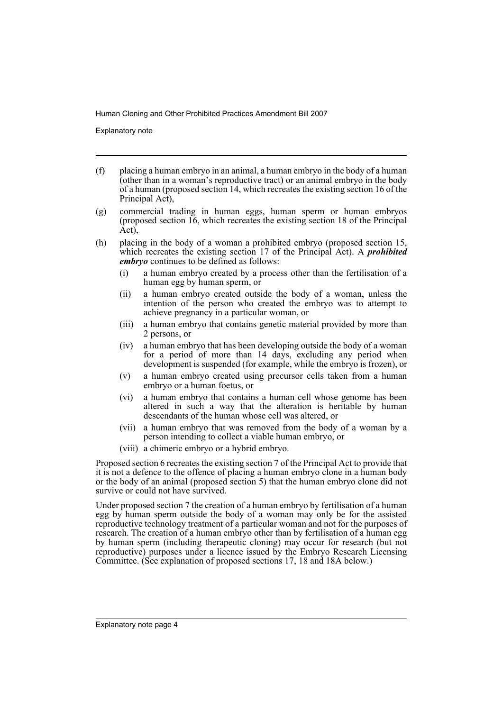Explanatory note

- (f) placing a human embryo in an animal, a human embryo in the body of a human (other than in a woman's reproductive tract) or an animal embryo in the body of a human (proposed section 14, which recreates the existing section 16 of the Principal Act),
- (g) commercial trading in human eggs, human sperm or human embryos (proposed section 16, which recreates the existing section 18 of the Principal Act),
- (h) placing in the body of a woman a prohibited embryo (proposed section 15, which recreates the existing section 17 of the Principal Act). A *prohibited embryo* continues to be defined as follows:
	- (i) a human embryo created by a process other than the fertilisation of a human egg by human sperm, or
	- (ii) a human embryo created outside the body of a woman, unless the intention of the person who created the embryo was to attempt to achieve pregnancy in a particular woman, or
	- (iii) a human embryo that contains genetic material provided by more than 2 persons, or
	- (iv) a human embryo that has been developing outside the body of a woman for a period of more than 14 days, excluding any period when development is suspended (for example, while the embryo is frozen), or
	- (v) a human embryo created using precursor cells taken from a human embryo or a human foetus, or
	- (vi) a human embryo that contains a human cell whose genome has been altered in such a way that the alteration is heritable by human descendants of the human whose cell was altered, or
	- (vii) a human embryo that was removed from the body of a woman by a person intending to collect a viable human embryo, or
	- (viii) a chimeric embryo or a hybrid embryo.

Proposed section 6 recreates the existing section 7 of the Principal Act to provide that it is not a defence to the offence of placing a human embryo clone in a human body or the body of an animal (proposed section 5) that the human embryo clone did not survive or could not have survived.

Under proposed section 7 the creation of a human embryo by fertilisation of a human egg by human sperm outside the body of a woman may only be for the assisted reproductive technology treatment of a particular woman and not for the purposes of research. The creation of a human embryo other than by fertilisation of a human egg by human sperm (including therapeutic cloning) may occur for research (but not reproductive) purposes under a licence issued by the Embryo Research Licensing Committee. (See explanation of proposed sections 17, 18 and 18A below.)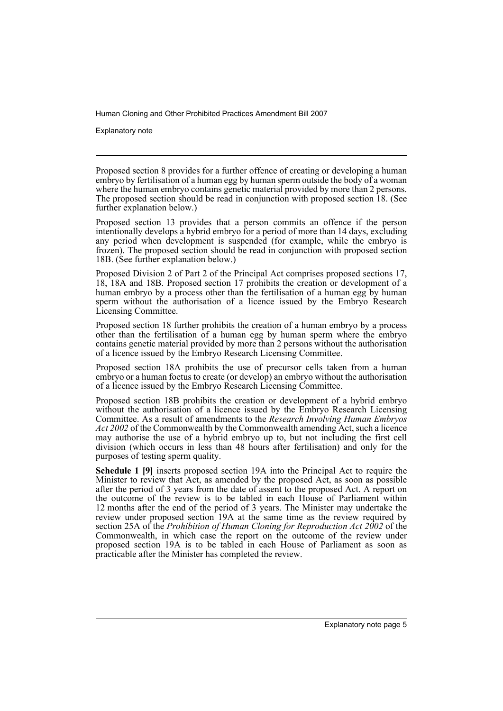Explanatory note

Proposed section 8 provides for a further offence of creating or developing a human embryo by fertilisation of a human egg by human sperm outside the body of a woman where the human embryo contains genetic material provided by more than 2 persons. The proposed section should be read in conjunction with proposed section 18. (See further explanation below.)

Proposed section 13 provides that a person commits an offence if the person intentionally develops a hybrid embryo for a period of more than 14 days, excluding any period when development is suspended (for example, while the embryo is frozen). The proposed section should be read in conjunction with proposed section 18B. (See further explanation below.)

Proposed Division 2 of Part 2 of the Principal Act comprises proposed sections 17, 18, 18A and 18B. Proposed section 17 prohibits the creation or development of a human embryo by a process other than the fertilisation of a human egg by human sperm without the authorisation of a licence issued by the Embryo Research Licensing Committee.

Proposed section 18 further prohibits the creation of a human embryo by a process other than the fertilisation of a human egg by human sperm where the embryo contains genetic material provided by more than 2 persons without the authorisation of a licence issued by the Embryo Research Licensing Committee.

Proposed section 18A prohibits the use of precursor cells taken from a human embryo or a human foetus to create (or develop) an embryo without the authorisation of a licence issued by the Embryo Research Licensing Committee.

Proposed section 18B prohibits the creation or development of a hybrid embryo without the authorisation of a licence issued by the Embryo Research Licensing Committee. As a result of amendments to the *Research Involving Human Embryos Act 2002* of the Commonwealth by the Commonwealth amending Act, such a licence may authorise the use of a hybrid embryo up to, but not including the first cell division (which occurs in less than 48 hours after fertilisation) and only for the purposes of testing sperm quality.

**Schedule 1 [9]** inserts proposed section 19A into the Principal Act to require the Minister to review that Act, as amended by the proposed Act, as soon as possible after the period of 3 years from the date of assent to the proposed Act. A report on the outcome of the review is to be tabled in each House of Parliament within 12 months after the end of the period of 3 years. The Minister may undertake the review under proposed section 19A at the same time as the review required by section 25A of the *Prohibition of Human Cloning for Reproduction Act 2002* of the Commonwealth, in which case the report on the outcome of the review under proposed section 19A is to be tabled in each House of Parliament as soon as practicable after the Minister has completed the review.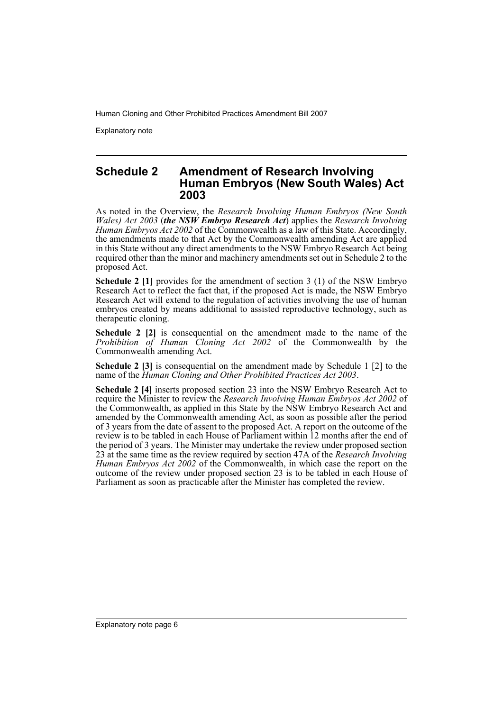Explanatory note

#### **Schedule 2 Amendment of Research Involving Human Embryos (New South Wales) Act 2003**

As noted in the Overview, the *Research Involving Human Embryos (New South Wales) Act 2003* (*the NSW Embryo Research Act*) applies the *Research Involving Human Embryos Act 2002* of the Commonwealth as a law of this State. Accordingly, the amendments made to that Act by the Commonwealth amending Act are applied in this State without any direct amendments to the NSW Embryo Research Act being required other than the minor and machinery amendments set out in Schedule 2 to the proposed Act.

**Schedule 2 [1]** provides for the amendment of section 3 (1) of the NSW Embryo Research Act to reflect the fact that, if the proposed Act is made, the NSW Embryo Research Act will extend to the regulation of activities involving the use of human embryos created by means additional to assisted reproductive technology, such as therapeutic cloning.

**Schedule 2 [2]** is consequential on the amendment made to the name of the *Prohibition of Human Cloning Act 2002* of the Commonwealth by the Commonwealth amending Act.

**Schedule 2 [3]** is consequential on the amendment made by Schedule 1 [2] to the name of the *Human Cloning and Other Prohibited Practices Act 2003*.

**Schedule 2 [4]** inserts proposed section 23 into the NSW Embryo Research Act to require the Minister to review the *Research Involving Human Embryos Act 2002* of the Commonwealth, as applied in this State by the NSW Embryo Research Act and amended by the Commonwealth amending Act, as soon as possible after the period of 3 years from the date of assent to the proposed Act. A report on the outcome of the review is to be tabled in each House of Parliament within 12 months after the end of the period of 3 years. The Minister may undertake the review under proposed section 23 at the same time as the review required by section 47A of the *Research Involving Human Embryos Act 2002* of the Commonwealth, in which case the report on the outcome of the review under proposed section 23 is to be tabled in each House of Parliament as soon as practicable after the Minister has completed the review.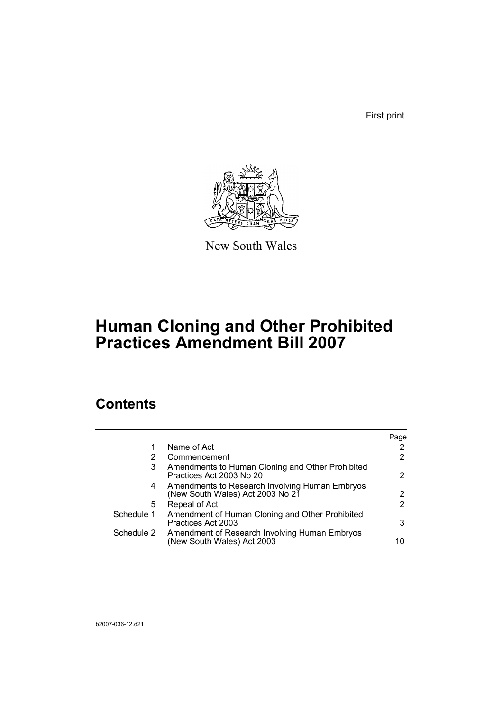First print



New South Wales

# **Human Cloning and Other Prohibited Practices Amendment Bill 2007**

## **Contents**

|            |                                                                                    | Page |
|------------|------------------------------------------------------------------------------------|------|
|            | Name of Act                                                                        |      |
| 2          | Commencement                                                                       | 2    |
| 3          | Amendments to Human Cloning and Other Prohibited<br>Practices Act 2003 No 20       | 2    |
| 4          | Amendments to Research Involving Human Embryos<br>(New South Wales) Act 2003 No 21 | 2    |
| 5          | Repeal of Act                                                                      | 2    |
| Schedule 1 | Amendment of Human Cloning and Other Prohibited<br>Practices Act 2003              | 3    |
| Schedule 2 | Amendment of Research Involving Human Embryos<br>(New South Wales) Act 2003        | 10   |
|            |                                                                                    |      |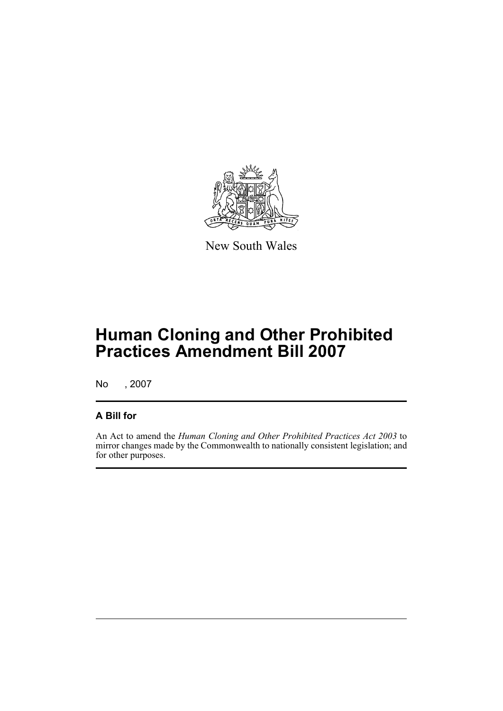

New South Wales

# **Human Cloning and Other Prohibited Practices Amendment Bill 2007**

No , 2007

### **A Bill for**

An Act to amend the *Human Cloning and Other Prohibited Practices Act 2003* to mirror changes made by the Commonwealth to nationally consistent legislation; and for other purposes.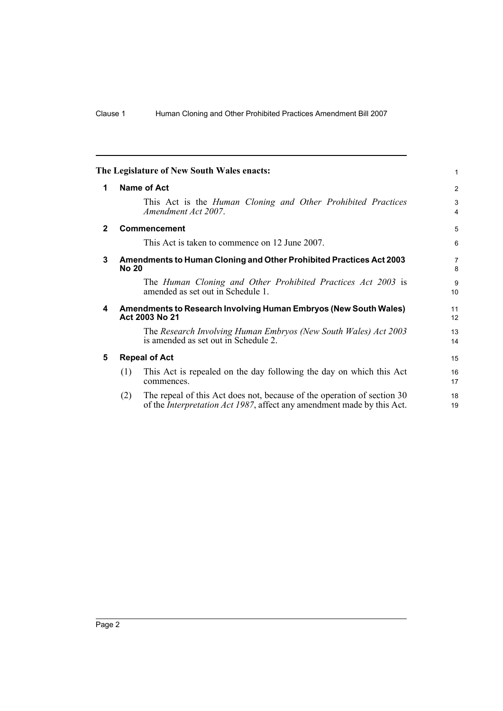<span id="page-9-4"></span><span id="page-9-3"></span><span id="page-9-2"></span><span id="page-9-1"></span><span id="page-9-0"></span>

|              |                                                                                            | The Legislature of New South Wales enacts:                                                                                                                | 1        |  |  |
|--------------|--------------------------------------------------------------------------------------------|-----------------------------------------------------------------------------------------------------------------------------------------------------------|----------|--|--|
| 1            | Name of Act                                                                                |                                                                                                                                                           |          |  |  |
|              |                                                                                            | This Act is the Human Cloning and Other Prohibited Practices<br>Amendment Act 2007.                                                                       | 3<br>4   |  |  |
| $\mathbf{2}$ |                                                                                            | <b>Commencement</b>                                                                                                                                       | 5        |  |  |
|              |                                                                                            | This Act is taken to commence on 12 June 2007.                                                                                                            | 6        |  |  |
| 3            | <b>Amendments to Human Cloning and Other Prohibited Practices Act 2003</b><br><b>No 20</b> |                                                                                                                                                           |          |  |  |
|              |                                                                                            | The Human Cloning and Other Prohibited Practices Act 2003 is<br>amended as set out in Schedule 1.                                                         | 9<br>10  |  |  |
| 4            |                                                                                            | <b>Amendments to Research Involving Human Embryos (New South Wales)</b><br>Act 2003 No 21                                                                 | 11<br>12 |  |  |
|              |                                                                                            | The Research Involving Human Embryos (New South Wales) Act 2003<br>is amended as set out in Schedule 2.                                                   | 13<br>14 |  |  |
| 5            | <b>Repeal of Act</b>                                                                       |                                                                                                                                                           |          |  |  |
|              | (1)                                                                                        | This Act is repealed on the day following the day on which this Act<br>commences.                                                                         | 16<br>17 |  |  |
|              | (2)                                                                                        | The repeal of this Act does not, because of the operation of section 30<br>of the <i>Interpretation Act 1987</i> , affect any amendment made by this Act. | 18<br>19 |  |  |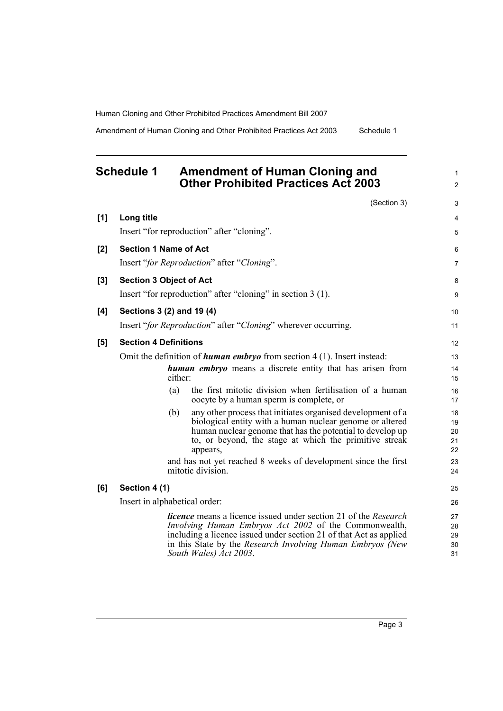Amendment of Human Cloning and Other Prohibited Practices Act 2003 Schedule 1

1  $\mathfrak{p}$ 

3

## <span id="page-10-0"></span>**Schedule 1 Amendment of Human Cloning and Other Prohibited Practices Act 2003**

(Section 3) **[1] Long title** Insert "for reproduction" after "cloning". **[2] Section 1 Name of Act** Insert "*for Reproduction*" after "*Cloning*". **[3] Section 3 Object of Act** Insert "for reproduction" after "cloning" in section 3 (1). **[4] Sections 3 (2) and 19 (4)** Insert "*for Reproduction*" after "*Cloning*" wherever occurring. **[5] Section 4 Definitions** Omit the definition of *human embryo* from section 4 (1). Insert instead: *human embryo* means a discrete entity that has arisen from either: (a) the first mitotic division when fertilisation of a human oocyte by a human sperm is complete, or (b) any other process that initiates organised development of a biological entity with a human nuclear genome or altered human nuclear genome that has the potential to develop up to, or beyond, the stage at which the primitive streak appears, and has not yet reached 8 weeks of development since the first mitotic division. **[6] Section 4 (1)** Insert in alphabetical order: *licence* means a licence issued under section 21 of the *Research Involving Human Embryos Act 2002* of the Commonwealth, including a licence issued under section 21 of that Act as applied in this State by the *Research Involving Human Embryos (New South Wales) Act 2003*. 4 5 6 7 8 9 10 11 12 13 14 15 16 17 18 19 20 21 22 23 24 25 26 27 28 29 30 31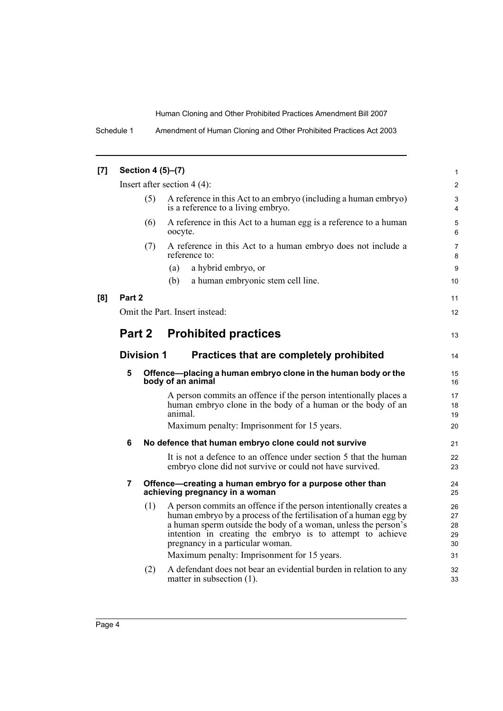| [7] | Section 4 (5)-(7)                                             |     |                                                                                                                                                                                                                                                                                                                                                         |                            |  |  |
|-----|---------------------------------------------------------------|-----|---------------------------------------------------------------------------------------------------------------------------------------------------------------------------------------------------------------------------------------------------------------------------------------------------------------------------------------------------------|----------------------------|--|--|
|     | Insert after section $4(4)$ :                                 |     |                                                                                                                                                                                                                                                                                                                                                         |                            |  |  |
|     | (5)                                                           |     | A reference in this Act to an embryo (including a human embryo)<br>is a reference to a living embryo.                                                                                                                                                                                                                                                   | 3<br>$\overline{4}$        |  |  |
|     |                                                               | (6) | A reference in this Act to a human egg is a reference to a human<br>oocyte.                                                                                                                                                                                                                                                                             | 5<br>6                     |  |  |
|     |                                                               | (7) | A reference in this Act to a human embryo does not include a<br>reference to:                                                                                                                                                                                                                                                                           | 7<br>8                     |  |  |
|     |                                                               |     | a hybrid embryo, or<br>(a)                                                                                                                                                                                                                                                                                                                              | 9                          |  |  |
|     |                                                               |     | a human embryonic stem cell line.<br>(b)                                                                                                                                                                                                                                                                                                                | 10                         |  |  |
| [8] | Part 2                                                        |     |                                                                                                                                                                                                                                                                                                                                                         | 11                         |  |  |
|     | Omit the Part. Insert instead:                                |     |                                                                                                                                                                                                                                                                                                                                                         |                            |  |  |
|     | Part 2                                                        |     | <b>Prohibited practices</b>                                                                                                                                                                                                                                                                                                                             | 13                         |  |  |
|     | <b>Division 1</b><br>Practices that are completely prohibited |     |                                                                                                                                                                                                                                                                                                                                                         |                            |  |  |
|     | 5                                                             |     | Offence-placing a human embryo clone in the human body or the<br>body of an animal                                                                                                                                                                                                                                                                      |                            |  |  |
|     |                                                               |     | A person commits an offence if the person intentionally places a<br>human embryo clone in the body of a human or the body of an<br>animal.                                                                                                                                                                                                              | 17<br>18<br>19             |  |  |
|     |                                                               |     | Maximum penalty: Imprisonment for 15 years.                                                                                                                                                                                                                                                                                                             | 20                         |  |  |
|     | 6                                                             |     | No defence that human embryo clone could not survive                                                                                                                                                                                                                                                                                                    | 21                         |  |  |
|     |                                                               |     | It is not a defence to an offence under section 5 that the human<br>embryo clone did not survive or could not have survived.                                                                                                                                                                                                                            | 22<br>23                   |  |  |
|     | $\overline{7}$                                                |     | Offence-creating a human embryo for a purpose other than<br>achieving pregnancy in a woman                                                                                                                                                                                                                                                              | 24<br>25                   |  |  |
|     |                                                               | (1) | A person commits an offence if the person intentionally creates a<br>human embryo by a process of the fertilisation of a human egg by<br>a human sperm outside the body of a woman, unless the person's<br>intention in creating the embryo is to attempt to achieve<br>pregnancy in a particular woman.<br>Maximum penalty: Imprisonment for 15 years. | 26<br>27<br>28<br>29<br>30 |  |  |
|     |                                                               |     |                                                                                                                                                                                                                                                                                                                                                         | 31                         |  |  |
|     |                                                               | (2) | A defendant does not bear an evidential burden in relation to any<br>matter in subsection $(1)$ .                                                                                                                                                                                                                                                       | 32<br>33                   |  |  |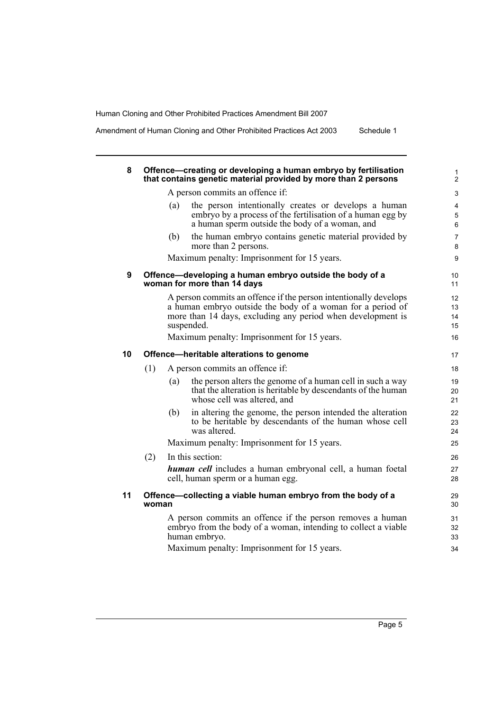Amendment of Human Cloning and Other Prohibited Practices Act 2003 Schedule 1

| 8  |       | Offence-creating or developing a human embryo by fertilisation<br>that contains genetic material provided by more than 2 persons                                                                                                                           |
|----|-------|------------------------------------------------------------------------------------------------------------------------------------------------------------------------------------------------------------------------------------------------------------|
|    |       | A person commits an offence if:                                                                                                                                                                                                                            |
|    | (a)   | the person intentionally creates or develops a human<br>embryo by a process of the fertilisation of a human egg by<br>a human sperm outside the body of a woman, and                                                                                       |
|    | (b)   | the human embryo contains genetic material provided by<br>more than 2 persons.                                                                                                                                                                             |
|    |       | Maximum penalty: Imprisonment for 15 years.                                                                                                                                                                                                                |
| 9  |       | Offence-developing a human embryo outside the body of a<br>woman for more than 14 days                                                                                                                                                                     |
|    |       | A person commits an offence if the person intentionally develops<br>a human embryo outside the body of a woman for a period of<br>more than 14 days, excluding any period when development is<br>suspended.<br>Maximum penalty: Imprisonment for 15 years. |
| 10 |       | Offence-heritable alterations to genome                                                                                                                                                                                                                    |
|    | (1)   | A person commits an offence if:                                                                                                                                                                                                                            |
|    | (a)   | the person alters the genome of a human cell in such a way<br>that the alteration is heritable by descendants of the human<br>whose cell was altered, and                                                                                                  |
|    | (b)   | in altering the genome, the person intended the alteration<br>to be heritable by descendants of the human whose cell<br>was altered.                                                                                                                       |
|    |       | Maximum penalty: Imprisonment for 15 years.                                                                                                                                                                                                                |
|    | (2)   | In this section:                                                                                                                                                                                                                                           |
|    |       | <b>human cell</b> includes a human embryonal cell, a human foetal<br>cell, human sperm or a human egg.                                                                                                                                                     |
| 11 | woman | Offence—collecting a viable human embryo from the body of a                                                                                                                                                                                                |
|    |       | A person commits an offence if the person removes a human<br>embryo from the body of a woman, intending to collect a viable<br>human embryo.                                                                                                               |
|    |       | Maximum penalty: Imprisonment for 15 years.                                                                                                                                                                                                                |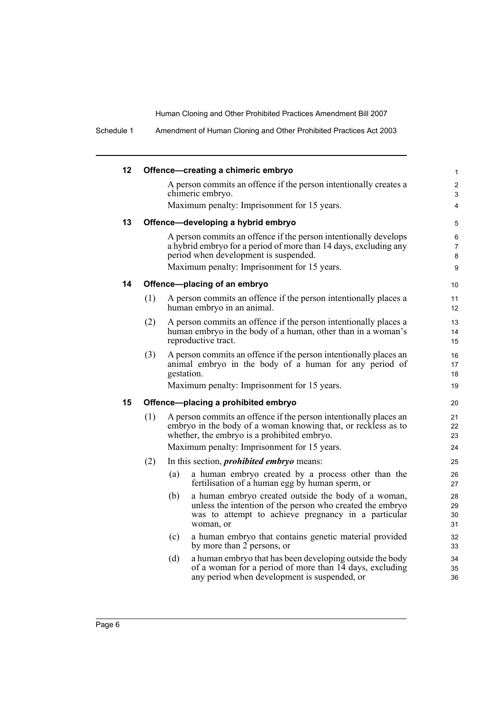Schedule 1 Amendment of Human Cloning and Other Prohibited Practices Act 2003

| 12 |     | Offence-creating a chimeric embryo                                                                                                                                                          | $\mathbf{1}$             |
|----|-----|---------------------------------------------------------------------------------------------------------------------------------------------------------------------------------------------|--------------------------|
|    |     | A person commits an offence if the person intentionally creates a<br>chimeric embryo.                                                                                                       | 2<br>3                   |
|    |     | Maximum penalty: Imprisonment for 15 years.                                                                                                                                                 | 4                        |
| 13 |     | Offence-developing a hybrid embryo                                                                                                                                                          | 5                        |
|    |     | A person commits an offence if the person intentionally develops<br>a hybrid embryo for a period of more than 14 days, excluding any<br>period when development is suspended.               | 6<br>$\overline{7}$<br>8 |
|    |     | Maximum penalty: Imprisonment for 15 years.                                                                                                                                                 | 9                        |
| 14 |     | Offence-placing of an embryo                                                                                                                                                                | 10                       |
|    | (1) | A person commits an offence if the person intentionally places a<br>human embryo in an animal.                                                                                              | 11<br>12                 |
|    | (2) | A person commits an offence if the person intentionally places a<br>human embryo in the body of a human, other than in a woman's<br>reproductive tract.                                     | 13<br>14<br>15           |
|    | (3) | A person commits an offence if the person intentionally places an<br>animal embryo in the body of a human for any period of<br>gestation.                                                   | 16<br>17<br>18           |
|    |     | Maximum penalty: Imprisonment for 15 years.                                                                                                                                                 | 19                       |
| 15 |     | Offence-placing a prohibited embryo                                                                                                                                                         | 20                       |
|    | (1) | A person commits an offence if the person intentionally places an<br>embryo in the body of a woman knowing that, or reckless as to<br>whether, the embryo is a prohibited embryo.           |                          |
|    |     | Maximum penalty: Imprisonment for 15 years.                                                                                                                                                 | 24                       |
|    | (2) | In this section, <i>prohibited embryo</i> means:                                                                                                                                            | 25                       |
|    |     | a human embryo created by a process other than the<br>(a)<br>fertilisation of a human egg by human sperm, or                                                                                | 26<br>27                 |
|    |     | a human embryo created outside the body of a woman,<br>(b)<br>unless the intention of the person who created the embryo<br>was to attempt to achieve pregnancy in a particular<br>woman, or | 28<br>29<br>30<br>31     |
|    |     | a human embryo that contains genetic material provided<br>(c)<br>by more than 2 persons, or                                                                                                 | 32<br>33                 |
|    |     | a human embryo that has been developing outside the body<br>(d)<br>of a woman for a period of more than 14 days, excluding<br>any period when development is suspended, or                  | 34<br>35<br>36           |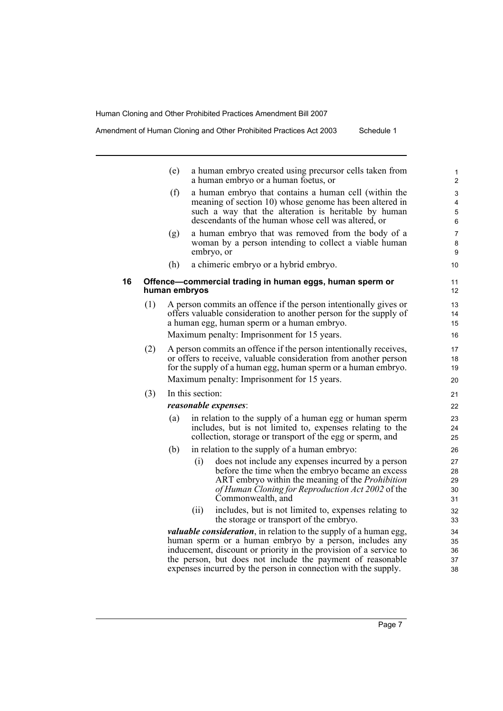Amendment of Human Cloning and Other Prohibited Practices Act 2003 Schedule 1

|    |     | (e)           |                  | a human embryo created using precursor cells taken from<br>a human embryo or a human foetus, or                                                                                                                                                                         | 1<br>$\overline{\mathbf{c}}$ |
|----|-----|---------------|------------------|-------------------------------------------------------------------------------------------------------------------------------------------------------------------------------------------------------------------------------------------------------------------------|------------------------------|
|    |     | (f)           |                  | a human embryo that contains a human cell (within the<br>meaning of section 10) whose genome has been altered in<br>such a way that the alteration is heritable by human<br>descendants of the human whose cell was altered, or                                         | 3<br>4<br>5<br>6             |
|    |     | (g)           |                  | a human embryo that was removed from the body of a<br>woman by a person intending to collect a viable human<br>embryo, or                                                                                                                                               | $\overline{7}$<br>8<br>9     |
|    |     | (h)           |                  | a chimeric embryo or a hybrid embryo.                                                                                                                                                                                                                                   | 10                           |
| 16 |     | human embryos |                  | Offence-commercial trading in human eggs, human sperm or                                                                                                                                                                                                                | 11<br>12                     |
|    | (1) |               |                  | A person commits an offence if the person intentionally gives or<br>offers valuable consideration to another person for the supply of<br>a human egg, human sperm or a human embryo.<br>Maximum penalty: Imprisonment for 15 years.                                     | 13<br>14<br>15<br>16         |
|    | (2) |               |                  | A person commits an offence if the person intentionally receives,<br>or offers to receive, valuable consideration from another person<br>for the supply of a human egg, human sperm or a human embryo.<br>Maximum penalty: Imprisonment for 15 years.                   | 17<br>18<br>19<br>20         |
|    | (3) |               | In this section: |                                                                                                                                                                                                                                                                         |                              |
|    |     |               |                  | <i>reasonable expenses:</i>                                                                                                                                                                                                                                             | 21<br>22                     |
|    |     | (a)           |                  | in relation to the supply of a human egg or human sperm<br>includes, but is not limited to, expenses relating to the<br>collection, storage or transport of the egg or sperm, and                                                                                       | 23<br>24<br>25               |
|    |     | (b)           |                  | in relation to the supply of a human embryo:                                                                                                                                                                                                                            | 26                           |
|    |     |               | (i)              | does not include any expenses incurred by a person<br>before the time when the embryo became an excess<br>ART embryo within the meaning of the <i>Prohibition</i><br>of Human Cloning for Reproduction Act 2002 of the<br>Commonwealth, and                             | 27<br>28<br>29<br>30<br>31   |
|    |     |               | (ii)             | includes, but is not limited to, expenses relating to<br>the storage or transport of the embryo.                                                                                                                                                                        | 32<br>33                     |
|    |     |               |                  | <i>valuable consideration</i> , in relation to the supply of a human egg,<br>human sperm or a human embryo by a person, includes any<br>inducement, discount or priority in the provision of a service to<br>the person, but does not include the payment of reasonable | 34<br>35<br>36<br>37         |

expenses incurred by the person in connection with the supply.

38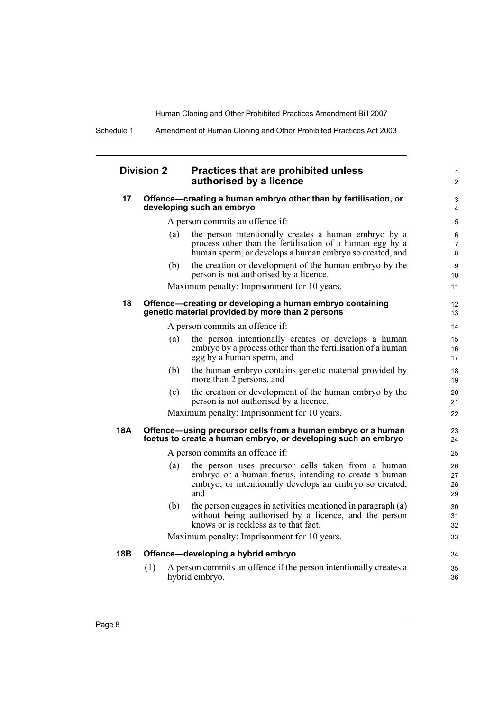31 32 33

34 35 36

Schedule 1 Amendment of Human Cloning and Other Prohibited Practices Act 2003

| <b>Division 2</b> | Practices that are prohibited unless |
|-------------------|--------------------------------------|
|                   | authorised by a licence              |

| 17  | Offence—creating a human embryo other than by fertilisation, or<br>developing such an embryo                 |                                                                                                                                                                               |                      |  |  |
|-----|--------------------------------------------------------------------------------------------------------------|-------------------------------------------------------------------------------------------------------------------------------------------------------------------------------|----------------------|--|--|
|     | A person commits an offence if:                                                                              |                                                                                                                                                                               |                      |  |  |
|     | (a)                                                                                                          | the person intentionally creates a human embryo by a<br>process other than the fertilisation of a human egg by a<br>human sperm, or develops a human embryo so created, and   | 6<br>7<br>8          |  |  |
|     | (b)                                                                                                          | the creation or development of the human embryo by the<br>person is not authorised by a licence.                                                                              | 9<br>10              |  |  |
|     |                                                                                                              | Maximum penalty: Imprisonment for 10 years.                                                                                                                                   | 11                   |  |  |
| 18  | Offence-creating or developing a human embryo containing<br>genetic material provided by more than 2 persons |                                                                                                                                                                               |                      |  |  |
|     | A person commits an offence if:                                                                              |                                                                                                                                                                               |                      |  |  |
|     | (a)                                                                                                          | the person intentionally creates or develops a human<br>embryo by a process other than the fertilisation of a human<br>egg by a human sperm, and                              | 15<br>16<br>17       |  |  |
|     | (b)                                                                                                          | the human embryo contains genetic material provided by<br>more than 2 persons, and                                                                                            | 18<br>19             |  |  |
|     | (c)                                                                                                          | the creation or development of the human embryo by the<br>person is not authorised by a licence.                                                                              | 20<br>21             |  |  |
|     |                                                                                                              | Maximum penalty: Imprisonment for 10 years.                                                                                                                                   | 22                   |  |  |
| 18A |                                                                                                              | Offence-using precursor cells from a human embryo or a human<br>foetus to create a human embryo, or developing such an embryo                                                 | 23<br>24             |  |  |
|     | A person commits an offence if:                                                                              |                                                                                                                                                                               |                      |  |  |
|     | (a)                                                                                                          | the person uses precursor cells taken from a human<br>embryo or a human foetus, intending to create a human<br>embryo, or intentionally develops an embryo so created,<br>and | 26<br>27<br>28<br>29 |  |  |
|     | (b)                                                                                                          | the person engages in activities mentioned in paragraph (a)                                                                                                                   | 30                   |  |  |

(b) the person engages in activities mentioned in paragraph (a) without being authorised by a licence, and the person knows or is reckless as to that fact.

Maximum penalty: Imprisonment for 10 years.

#### **18B Offence—developing a hybrid embryo**

(1) A person commits an offence if the person intentionally creates a hybrid embryo.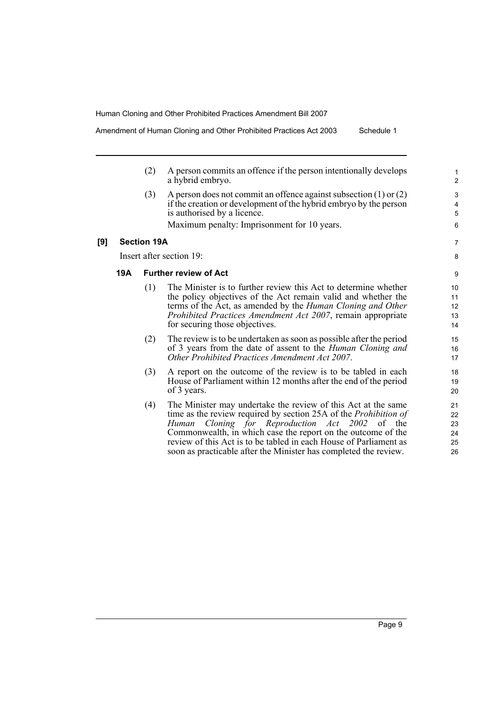Amendment of Human Cloning and Other Prohibited Practices Act 2003 Schedule 1

- (2) A person commits an offence if the person intentionally develops a hybrid embryo.
- (3) A person does not commit an offence against subsection (1) or (2) if the creation or development of the hybrid embryo by the person is authorised by a licence.

Maximum penalty: Imprisonment for 10 years.

#### **[9] Section 19A**

Insert after section 19:

#### **19A Further review of Act**

- (1) The Minister is to further review this Act to determine whether the policy objectives of the Act remain valid and whether the terms of the Act, as amended by the *Human Cloning and Other Prohibited Practices Amendment Act 2007*, remain appropriate for securing those objectives.
- (2) The review is to be undertaken as soon as possible after the period of 3 years from the date of assent to the *Human Cloning and Other Prohibited Practices Amendment Act 2007*.
- (3) A report on the outcome of the review is to be tabled in each House of Parliament within 12 months after the end of the period of 3 years.
- (4) The Minister may undertake the review of this Act at the same time as the review required by section 25A of the *Prohibition of Human Cloning for Reproduction Act 2002* of the Commonwealth, in which case the report on the outcome of the review of this Act is to be tabled in each House of Parliament as soon as practicable after the Minister has completed the review.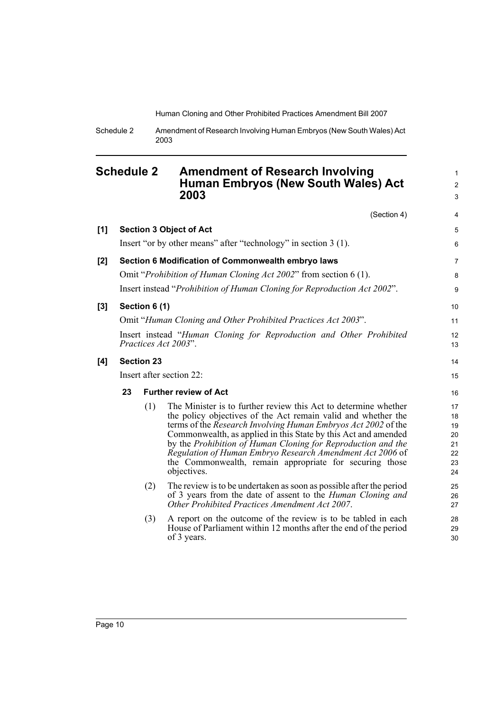1 2 3

30

Schedule 2 Amendment of Research Involving Human Embryos (New South Wales) Act 2003

### <span id="page-17-0"></span>**Schedule 2 Amendment of Research Involving Human Embryos (New South Wales) Act 2003**

(Section 4) **[1] Section 3 Object of Act** Insert "or by other means" after "technology" in section 3 (1). **[2] Section 6 Modification of Commonwealth embryo laws** Omit "*Prohibition of Human Cloning Act 2002*" from section 6 (1). Insert instead "*Prohibition of Human Cloning for Reproduction Act 2002*". **[3] Section 6 (1)** Omit "*Human Cloning and Other Prohibited Practices Act 2003*". Insert instead "*Human Cloning for Reproduction and Other Prohibited Practices Act 2003*". **[4] Section 23** Insert after section 22: **23 Further review of Act** (1) The Minister is to further review this Act to determine whether the policy objectives of the Act remain valid and whether the terms of the *Research Involving Human Embryos Act 2002* of the Commonwealth, as applied in this State by this Act and amended by the *Prohibition of Human Cloning for Reproduction and the Regulation of Human Embryo Research Amendment Act 2006* of the Commonwealth, remain appropriate for securing those objectives. (2) The review is to be undertaken as soon as possible after the period of 3 years from the date of assent to the *Human Cloning and Other Prohibited Practices Amendment Act 2007*. (3) A report on the outcome of the review is to be tabled in each House of Parliament within 12 months after the end of the period 4 5 6 7 8 9 10 11 12 13 14 15 16 17 18 19 20 21 22 23 24 25 26 27 28 29

of 3 years.